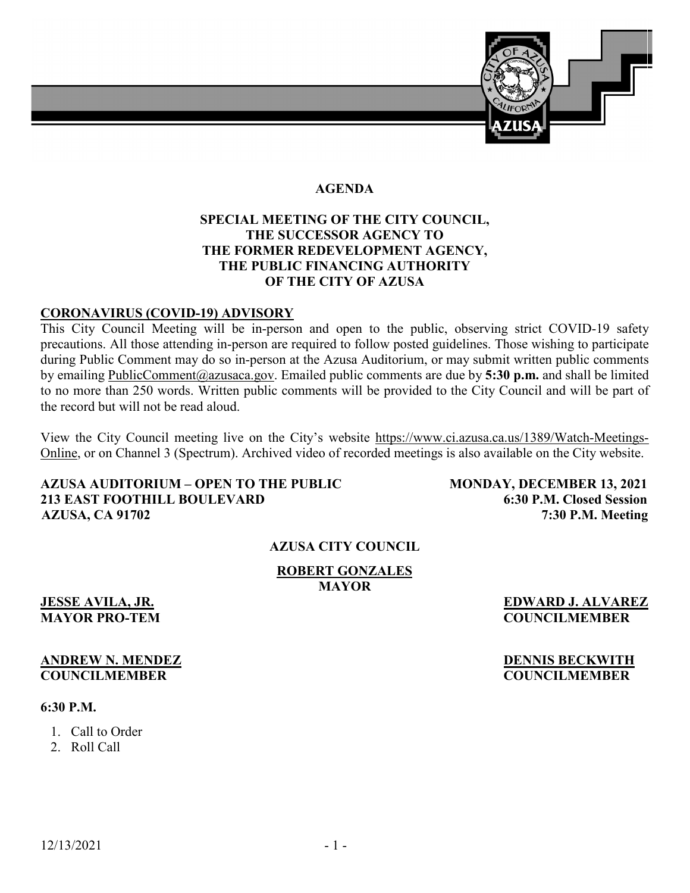

# **AGENDA**

# **SPECIAL MEETING OF THE CITY COUNCIL, THE SUCCESSOR AGENCY TO THE FORMER REDEVELOPMENT AGENCY, THE PUBLIC FINANCING AUTHORITY OF THE CITY OF AZUSA**

# **CORONAVIRUS (COVID-19) ADVISORY**

This City Council Meeting will be in-person and open to the public, observing strict COVID-19 safety precautions. All those attending in-person are required to follow posted guidelines. Those wishing to participate during Public Comment may do so in-person at the Azusa Auditorium, or may submit written public comments by emailing [PublicComment@azusaca.gov.](mailto:PublicComment@azusaca.gov) Emailed public comments are due by **5:30 p.m.** and shall be limited to no more than 250 words. Written public comments will be provided to the City Council and will be part of the record but will not be read aloud.

View the City Council meeting live on the City's website [https://www.ci.azusa.ca.us/1389/Watch-Meetings-](https://www.ci.azusa.ca.us/1389/Watch-Meetings-Online)[Online,](https://www.ci.azusa.ca.us/1389/Watch-Meetings-Online) or on Channel 3 (Spectrum). Archived video of recorded meetings is also available on the City website.

# **AZUSA AUDITORIUM – OPEN TO THE PUBLIC MONDAY, DECEMBER 13, 2021 213 EAST FOOTHILL BOULEVARD 6:30 P.M. Closed Session AZUSA, CA 91702 7:30 P.M. Meeting**

# **AZUSA CITY COUNCIL**

### **ROBERT GONZALES MAYOR**

# **ANDREW N. MENDEZ DENNIS BECKWITH**

### **6:30 P.M.**

- 1. Call to Order
- 2. Roll Call

**JESSE AVILA, JR. EDWARD J. ALVAREZ MAYOR PRO-TEM COUNCILMEMBER**

**COUNCILMEMBER COUNCILMEMBER**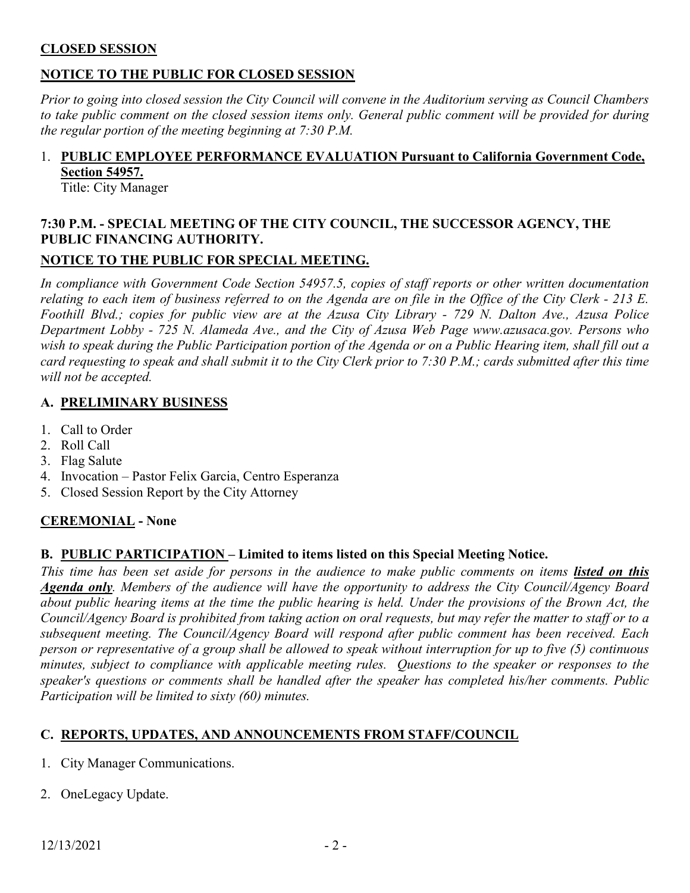# **CLOSED SESSION**

# **NOTICE TO THE PUBLIC FOR CLOSED SESSION**

*Prior to going into closed session the City Council will convene in the Auditorium serving as Council Chambers to take public comment on the closed session items only. General public comment will be provided for during the regular portion of the meeting beginning at 7:30 P.M.* 

# 1. **PUBLIC EMPLOYEE PERFORMANCE EVALUATION Pursuant to California Government Code, Section 54957.**

Title: City Manager

# **7:30 P.M. - SPECIAL MEETING OF THE CITY COUNCIL, THE SUCCESSOR AGENCY, THE PUBLIC FINANCING AUTHORITY.**

# **NOTICE TO THE PUBLIC FOR SPECIAL MEETING.**

*In compliance with Government Code Section 54957.5, copies of staff reports or other written documentation relating to each item of business referred to on the Agenda are on file in the Office of the City Clerk - 213 E. Foothill Blvd.; copies for public view are at the Azusa City Library - 729 N. Dalton Ave., Azusa Police Department Lobby - 725 N. Alameda Ave., and the City of Azusa Web Page www.azusaca.gov. Persons who*  wish to speak during the Public Participation portion of the Agenda or on a Public Hearing item, shall fill out a *card requesting to speak and shall submit it to the City Clerk prior to 7:30 P.M.; cards submitted after this time will not be accepted.* 

# **A. PRELIMINARY BUSINESS**

- 1. Call to Order
- 2. Roll Call
- 3. Flag Salute
- 4. Invocation Pastor Felix Garcia, Centro Esperanza
- 5. Closed Session Report by the City Attorney

# **CEREMONIAL - None**

# **B. PUBLIC PARTICIPATION – Limited to items listed on this Special Meeting Notice.**

This time has been set aside for persons in the audience to make public comments on items *listed on this Agenda only. Members of the audience will have the opportunity to address the City Council/Agency Board about public hearing items at the time the public hearing is held. Under the provisions of the Brown Act, the Council/Agency Board is prohibited from taking action on oral requests, but may refer the matter to staff or to a subsequent meeting. The Council/Agency Board will respond after public comment has been received. Each person or representative of a group shall be allowed to speak without interruption for up to five (5) continuous minutes, subject to compliance with applicable meeting rules. Questions to the speaker or responses to the speaker's questions or comments shall be handled after the speaker has completed his/her comments. Public Participation will be limited to sixty (60) minutes.*

# **C. REPORTS, UPDATES, AND ANNOUNCEMENTS FROM STAFF/COUNCIL**

- 1. City Manager Communications.
- 2. OneLegacy Update.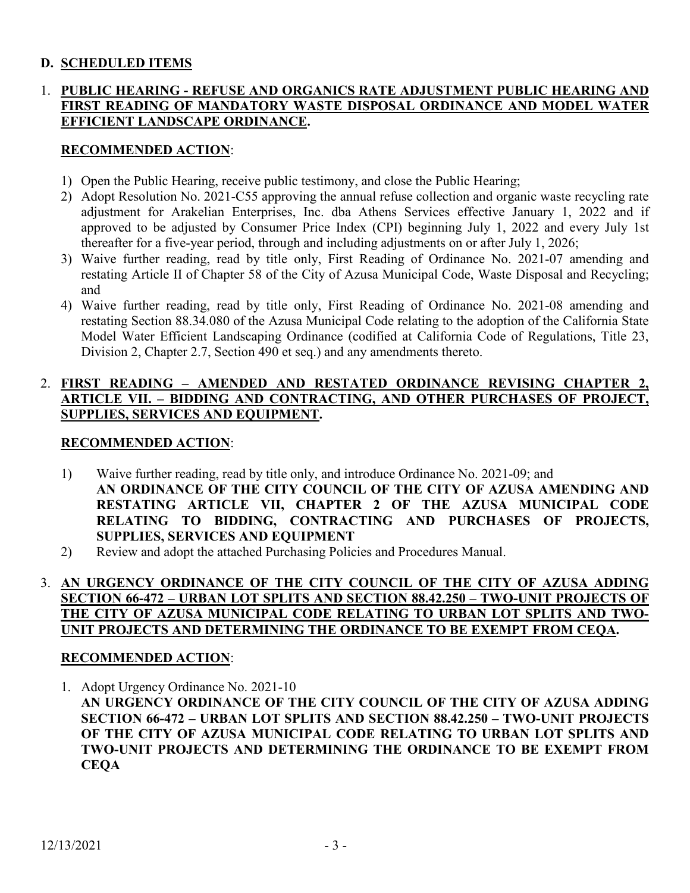# **D. SCHEDULED ITEMS**

# 1. **PUBLIC HEARING - REFUSE AND ORGANICS RATE ADJUSTMENT PUBLIC HEARING AND FIRST READING OF MANDATORY WASTE DISPOSAL ORDINANCE AND MODEL WATER EFFICIENT LANDSCAPE ORDINANCE.**

# **RECOMMENDED ACTION**:

- 1) Open the Public Hearing, receive public testimony, and close the Public Hearing;
- 2) Adopt Resolution No. 2021-C55 approving the annual refuse collection and organic waste recycling rate adjustment for Arakelian Enterprises, Inc. dba Athens Services effective January 1, 2022 and if approved to be adjusted by Consumer Price Index (CPI) beginning July 1, 2022 and every July 1st thereafter for a five-year period, through and including adjustments on or after July 1, 2026;
- 3) Waive further reading, read by title only, First Reading of Ordinance No. 2021-07 amending and restating Article II of Chapter 58 of the City of Azusa Municipal Code, Waste Disposal and Recycling; and
- 4) Waive further reading, read by title only, First Reading of Ordinance No. 2021-08 amending and restating Section 88.34.080 of the Azusa Municipal Code relating to the adoption of the California State Model Water Efficient Landscaping Ordinance (codified at California Code of Regulations, Title 23, Division 2, Chapter 2.7, Section 490 et seq.) and any amendments thereto.

# 2. **FIRST READING – AMENDED AND RESTATED ORDINANCE REVISING CHAPTER 2, ARTICLE VII. – BIDDING AND CONTRACTING, AND OTHER PURCHASES OF PROJECT, SUPPLIES, SERVICES AND EQUIPMENT.**

# **RECOMMENDED ACTION**:

- 1) Waive further reading, read by title only, and introduce Ordinance No. 2021-09; and **AN ORDINANCE OF THE CITY COUNCIL OF THE CITY OF AZUSA AMENDING AND RESTATING ARTICLE VII, CHAPTER 2 OF THE AZUSA MUNICIPAL CODE RELATING TO BIDDING, CONTRACTING AND PURCHASES OF PROJECTS, SUPPLIES, SERVICES AND EQUIPMENT**
- 2) Review and adopt the attached Purchasing Policies and Procedures Manual.

# 3. **AN URGENCY ORDINANCE OF THE CITY COUNCIL OF THE CITY OF AZUSA ADDING SECTION 66-472 – URBAN LOT SPLITS AND SECTION 88.42.250 – TWO-UNIT PROJECTS OF THE CITY OF AZUSA MUNICIPAL CODE RELATING TO URBAN LOT SPLITS AND TWO-UNIT PROJECTS AND DETERMINING THE ORDINANCE TO BE EXEMPT FROM CEQA.**

### **RECOMMENDED ACTION**:

1. Adopt Urgency Ordinance No. 2021-10 **AN URGENCY ORDINANCE OF THE CITY COUNCIL OF THE CITY OF AZUSA ADDING SECTION 66-472 – URBAN LOT SPLITS AND SECTION 88.42.250 – TWO-UNIT PROJECTS OF THE CITY OF AZUSA MUNICIPAL CODE RELATING TO URBAN LOT SPLITS AND TWO-UNIT PROJECTS AND DETERMINING THE ORDINANCE TO BE EXEMPT FROM CEQA**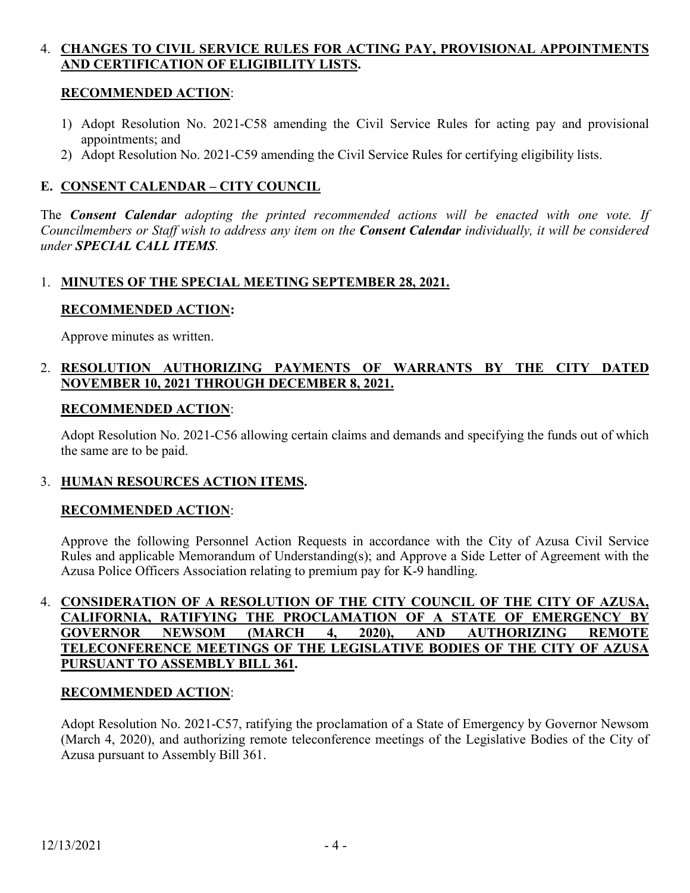# 4. **CHANGES TO CIVIL SERVICE RULES FOR ACTING PAY, PROVISIONAL APPOINTMENTS AND CERTIFICATION OF ELIGIBILITY LISTS.**

# **RECOMMENDED ACTION**:

- 1) Adopt Resolution No. 2021-C58 amending the Civil Service Rules for acting pay and provisional appointments; and
- 2) Adopt Resolution No. 2021-C59 amending the Civil Service Rules for certifying eligibility lists.

# **E. CONSENT CALENDAR – CITY COUNCIL**

The *Consent Calendar adopting the printed recommended actions will be enacted with one vote. If Councilmembers or Staff wish to address any item on the Consent Calendar individually, it will be considered under SPECIAL CALL ITEMS.*

# 1. **MINUTES OF THE SPECIAL MEETING SEPTEMBER 28, 2021.**

# **RECOMMENDED ACTION:**

Approve minutes as written.

# 2. **RESOLUTION AUTHORIZING PAYMENTS OF WARRANTS BY THE CITY DATED NOVEMBER 10, 2021 THROUGH DECEMBER 8, 2021.**

# **RECOMMENDED ACTION**:

Adopt Resolution No. 2021-C56 allowing certain claims and demands and specifying the funds out of which the same are to be paid.

# 3. **HUMAN RESOURCES ACTION ITEMS.**

# **RECOMMENDED ACTION**:

Approve the following Personnel Action Requests in accordance with the City of Azusa Civil Service Rules and applicable Memorandum of Understanding(s); and Approve a Side Letter of Agreement with the Azusa Police Officers Association relating to premium pay for K-9 handling.

# 4. **CONSIDERATION OF A RESOLUTION OF THE CITY COUNCIL OF THE CITY OF AZUSA, CALIFORNIA, RATIFYING THE PROCLAMATION OF A STATE OF EMERGENCY BY GOVERNOR NEWSOM (MARCH 4, 2020), AND AUTHORIZING REMOTE TELECONFERENCE MEETINGS OF THE LEGISLATIVE BODIES OF THE CITY OF AZUSA PURSUANT TO ASSEMBLY BILL 361.**

# **RECOMMENDED ACTION**:

Adopt Resolution No. 2021-C57, ratifying the proclamation of a State of Emergency by Governor Newsom (March 4, 2020), and authorizing remote teleconference meetings of the Legislative Bodies of the City of Azusa pursuant to Assembly Bill 361.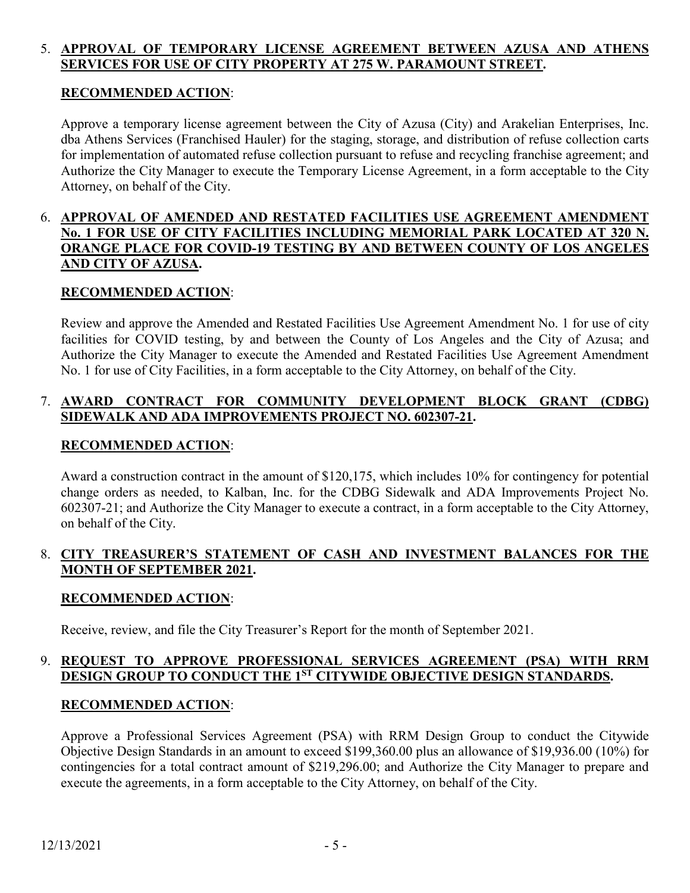# 5. **APPROVAL OF TEMPORARY LICENSE AGREEMENT BETWEEN AZUSA AND ATHENS SERVICES FOR USE OF CITY PROPERTY AT 275 W. PARAMOUNT STREET.**

# **RECOMMENDED ACTION**:

Approve a temporary license agreement between the City of Azusa (City) and Arakelian Enterprises, Inc. dba Athens Services (Franchised Hauler) for the staging, storage, and distribution of refuse collection carts for implementation of automated refuse collection pursuant to refuse and recycling franchise agreement; and Authorize the City Manager to execute the Temporary License Agreement, in a form acceptable to the City Attorney, on behalf of the City.

# 6. **APPROVAL OF AMENDED AND RESTATED FACILITIES USE AGREEMENT AMENDMENT No. 1 FOR USE OF CITY FACILITIES INCLUDING MEMORIAL PARK LOCATED AT 320 N. ORANGE PLACE FOR COVID-19 TESTING BY AND BETWEEN COUNTY OF LOS ANGELES AND CITY OF AZUSA.**

# **RECOMMENDED ACTION**:

Review and approve the Amended and Restated Facilities Use Agreement Amendment No. 1 for use of city facilities for COVID testing, by and between the County of Los Angeles and the City of Azusa; and Authorize the City Manager to execute the Amended and Restated Facilities Use Agreement Amendment No. 1 for use of City Facilities, in a form acceptable to the City Attorney, on behalf of the City.

# 7. **AWARD CONTRACT FOR COMMUNITY DEVELOPMENT BLOCK GRANT (CDBG) SIDEWALK AND ADA IMPROVEMENTS PROJECT NO. 602307-21.**

# **RECOMMENDED ACTION**:

Award a construction contract in the amount of \$120,175, which includes 10% for contingency for potential change orders as needed, to Kalban, Inc. for the CDBG Sidewalk and ADA Improvements Project No. 602307-21; and Authorize the City Manager to execute a contract, in a form acceptable to the City Attorney, on behalf of the City.

# 8. **CITY TREASURER'S STATEMENT OF CASH AND INVESTMENT BALANCES FOR THE MONTH OF SEPTEMBER 2021.**

### **RECOMMENDED ACTION**:

Receive, review, and file the City Treasurer's Report for the month of September 2021.

# 9. **REQUEST TO APPROVE PROFESSIONAL SERVICES AGREEMENT (PSA) WITH RRM DESIGN GROUP TO CONDUCT THE 1ST CITYWIDE OBJECTIVE DESIGN STANDARDS.**

### **RECOMMENDED ACTION**:

Approve a Professional Services Agreement (PSA) with RRM Design Group to conduct the Citywide Objective Design Standards in an amount to exceed \$199,360.00 plus an allowance of \$19,936.00 (10%) for contingencies for a total contract amount of \$219,296.00; and Authorize the City Manager to prepare and execute the agreements, in a form acceptable to the City Attorney, on behalf of the City.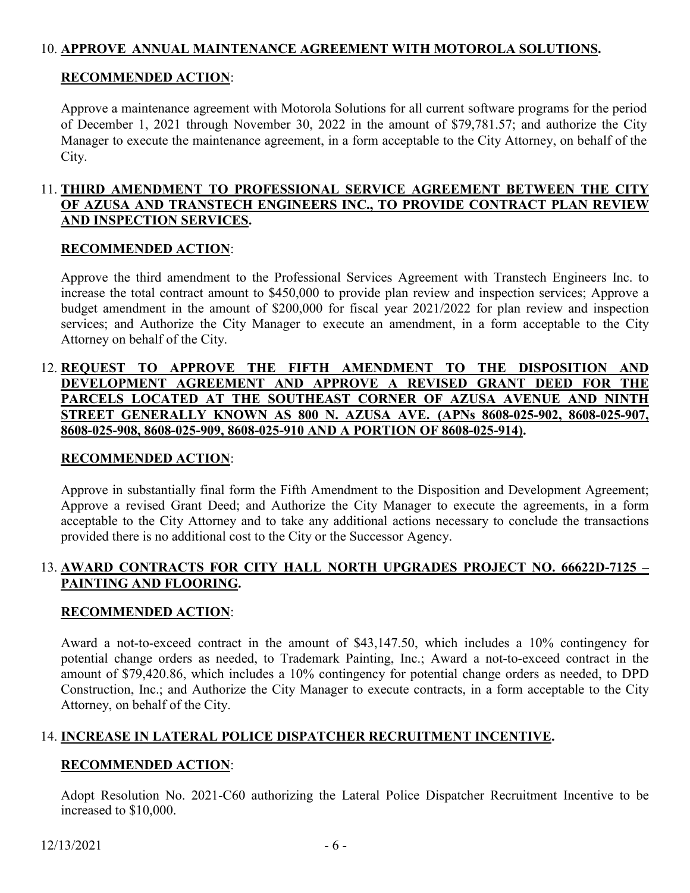# 10. **APPROVE ANNUAL MAINTENANCE AGREEMENT WITH MOTOROLA SOLUTIONS.**

# **RECOMMENDED ACTION**:

Approve a maintenance agreement with Motorola Solutions for all current software programs for the period of December 1, 2021 through November 30, 2022 in the amount of \$79,781.57; and authorize the City Manager to execute the maintenance agreement, in a form acceptable to the City Attorney, on behalf of the City.

# 11. **THIRD AMENDMENT TO PROFESSIONAL SERVICE AGREEMENT BETWEEN THE CITY OF AZUSA AND TRANSTECH ENGINEERS INC., TO PROVIDE CONTRACT PLAN REVIEW AND INSPECTION SERVICES.**

# **RECOMMENDED ACTION**:

Approve the third amendment to the Professional Services Agreement with Transtech Engineers Inc. to increase the total contract amount to \$450,000 to provide plan review and inspection services; Approve a budget amendment in the amount of \$200,000 for fiscal year 2021/2022 for plan review and inspection services; and Authorize the City Manager to execute an amendment, in a form acceptable to the City Attorney on behalf of the City.

# 12. **REQUEST TO APPROVE THE FIFTH AMENDMENT TO THE DISPOSITION AND DEVELOPMENT AGREEMENT AND APPROVE A REVISED GRANT DEED FOR THE PARCELS LOCATED AT THE SOUTHEAST CORNER OF AZUSA AVENUE AND NINTH STREET GENERALLY KNOWN AS 800 N. AZUSA AVE. (APNs 8608-025-902, 8608-025-907, 8608-025-908, 8608-025-909, 8608-025-910 AND A PORTION OF 8608-025-914).**

# **RECOMMENDED ACTION**:

Approve in substantially final form the Fifth Amendment to the Disposition and Development Agreement; Approve a revised Grant Deed; and Authorize the City Manager to execute the agreements, in a form acceptable to the City Attorney and to take any additional actions necessary to conclude the transactions provided there is no additional cost to the City or the Successor Agency.

# 13. **AWARD CONTRACTS FOR CITY HALL NORTH UPGRADES PROJECT NO. 66622D-7125 – PAINTING AND FLOORING.**

# **RECOMMENDED ACTION**:

Award a not-to-exceed contract in the amount of \$43,147.50, which includes a 10% contingency for potential change orders as needed, to Trademark Painting, Inc.; Award a not-to-exceed contract in the amount of \$79,420.86, which includes a 10% contingency for potential change orders as needed, to DPD Construction, Inc.; and Authorize the City Manager to execute contracts, in a form acceptable to the City Attorney, on behalf of the City.

# 14. **INCREASE IN LATERAL POLICE DISPATCHER RECRUITMENT INCENTIVE.**

### **RECOMMENDED ACTION**:

Adopt Resolution No. 2021-C60 authorizing the Lateral Police Dispatcher Recruitment Incentive to be increased to \$10,000.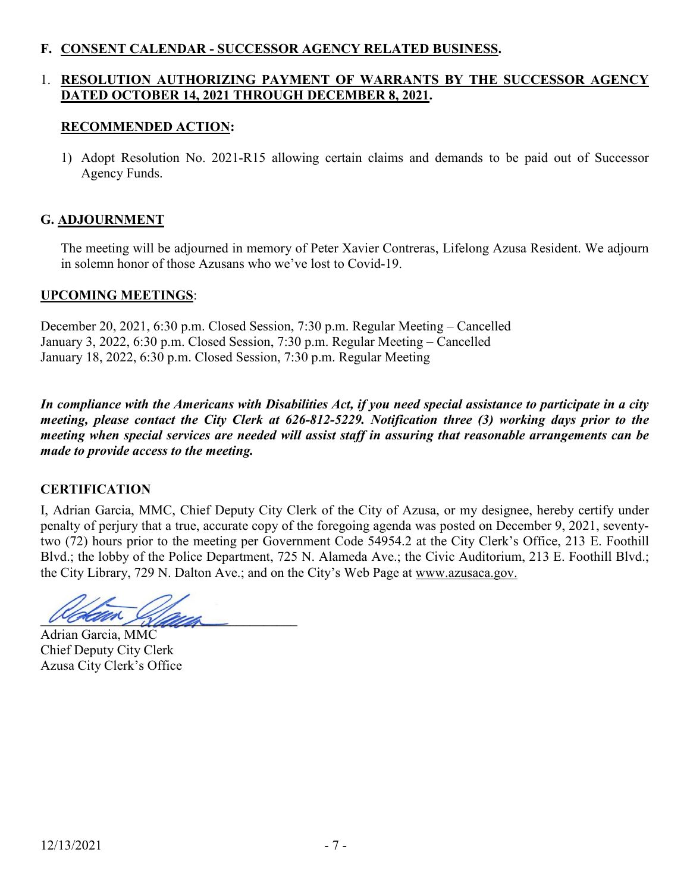# **F. CONSENT CALENDAR - SUCCESSOR AGENCY RELATED BUSINESS.**

# 1. **RESOLUTION AUTHORIZING PAYMENT OF WARRANTS BY THE SUCCESSOR AGENCY DATED OCTOBER 14, 2021 THROUGH DECEMBER 8, 2021.**

# **RECOMMENDED ACTION:**

1) Adopt Resolution No. 2021-R15 allowing certain claims and demands to be paid out of Successor Agency Funds.

# **G. ADJOURNMENT**

The meeting will be adjourned in memory of Peter Xavier Contreras, Lifelong Azusa Resident. We adjourn in solemn honor of those Azusans who we've lost to Covid-19.

# **UPCOMING MEETINGS**:

December 20, 2021, 6:30 p.m. Closed Session, 7:30 p.m. Regular Meeting – Cancelled January 3, 2022, 6:30 p.m. Closed Session, 7:30 p.m. Regular Meeting – Cancelled January 18, 2022, 6:30 p.m. Closed Session, 7:30 p.m. Regular Meeting

*In compliance with the Americans with Disabilities Act, if you need special assistance to participate in a city meeting, please contact the City Clerk at 626-812-5229. Notification three (3) working days prior to the meeting when special services are needed will assist staff in assuring that reasonable arrangements can be made to provide access to the meeting.*

# **CERTIFICATION**

I, Adrian Garcia, MMC, Chief Deputy City Clerk of the City of Azusa, or my designee, hereby certify under penalty of perjury that a true, accurate copy of the foregoing agenda was posted on December 9, 2021, seventytwo (72) hours prior to the meeting per Government Code 54954.2 at the City Clerk's Office, 213 E. Foothill Blvd.; the lobby of the Police Department, 725 N. Alameda Ave.; the Civic Auditorium, 213 E. Foothill Blvd.; the City Library, 729 N. Dalton Ave.; and on the City's Web Page at www.azusaca.gov.

**Western Sideling** 

Adrian Garcia, MMC Chief Deputy City Clerk Azusa City Clerk's Office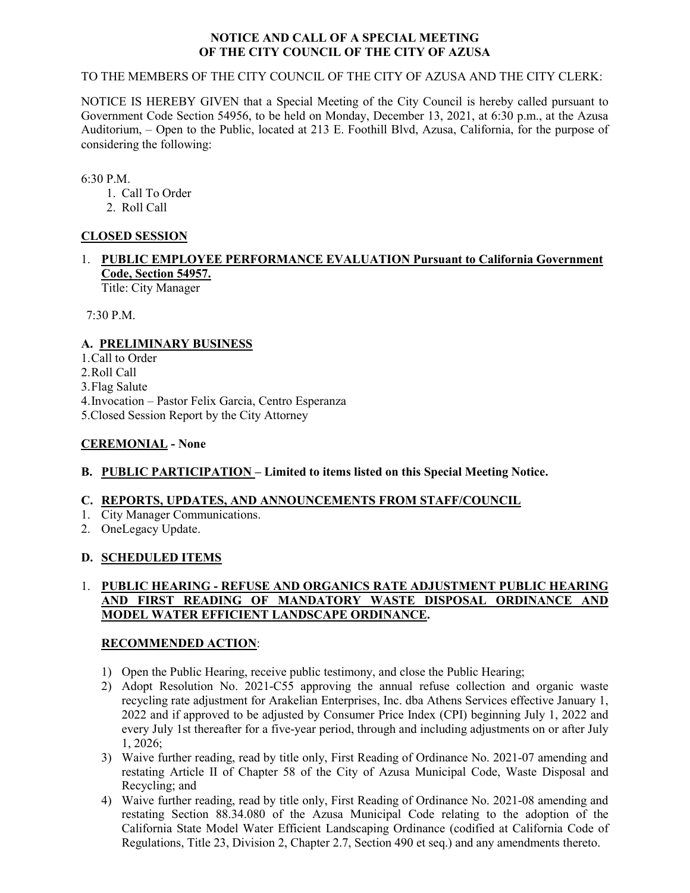#### **NOTICE AND CALL OF A SPECIAL MEETING OF THE CITY COUNCIL OF THE CITY OF AZUSA**

#### TO THE MEMBERS OF THE CITY COUNCIL OF THE CITY OF AZUSA AND THE CITY CLERK:

NOTICE IS HEREBY GIVEN that a Special Meeting of the City Council is hereby called pursuant to Government Code Section 54956, to be held on Monday, December 13, 2021, at 6:30 p.m., at the Azusa Auditorium, – Open to the Public, located at 213 E. Foothill Blvd, Azusa, California, for the purpose of considering the following:

6:30 P.M.

- 1. Call To Order
- 2. Roll Call

### **CLOSED SESSION**

#### 1. **PUBLIC EMPLOYEE PERFORMANCE EVALUATION Pursuant to California Government Code, Section 54957.** Title: City Manager

7:30 P.M.

# **A. PRELIMINARY BUSINESS**

1.Call to Order 2.Roll Call

3.Flag Salute

4.Invocation – Pastor Felix Garcia, Centro Esperanza

5.Closed Session Report by the City Attorney

### **CEREMONIAL - None**

### **B. PUBLIC PARTICIPATION – Limited to items listed on this Special Meeting Notice.**

### **C. REPORTS, UPDATES, AND ANNOUNCEMENTS FROM STAFF/COUNCIL**

- 1. City Manager Communications.
- 2. OneLegacy Update.

### **D. SCHEDULED ITEMS**

#### 1. **PUBLIC HEARING - REFUSE AND ORGANICS RATE ADJUSTMENT PUBLIC HEARING AND FIRST READING OF MANDATORY WASTE DISPOSAL ORDINANCE AND MODEL WATER EFFICIENT LANDSCAPE ORDINANCE.**

### **RECOMMENDED ACTION**:

- 1) Open the Public Hearing, receive public testimony, and close the Public Hearing;
- 2) Adopt Resolution No. 2021-C55 approving the annual refuse collection and organic waste recycling rate adjustment for Arakelian Enterprises, Inc. dba Athens Services effective January 1, 2022 and if approved to be adjusted by Consumer Price Index (CPI) beginning July 1, 2022 and every July 1st thereafter for a five-year period, through and including adjustments on or after July 1, 2026;
- 3) Waive further reading, read by title only, First Reading of Ordinance No. 2021-07 amending and restating Article II of Chapter 58 of the City of Azusa Municipal Code, Waste Disposal and Recycling; and
- 4) Waive further reading, read by title only, First Reading of Ordinance No. 2021-08 amending and restating Section 88.34.080 of the Azusa Municipal Code relating to the adoption of the California State Model Water Efficient Landscaping Ordinance (codified at California Code of Regulations, Title 23, Division 2, Chapter 2.7, Section 490 et seq.) and any amendments thereto.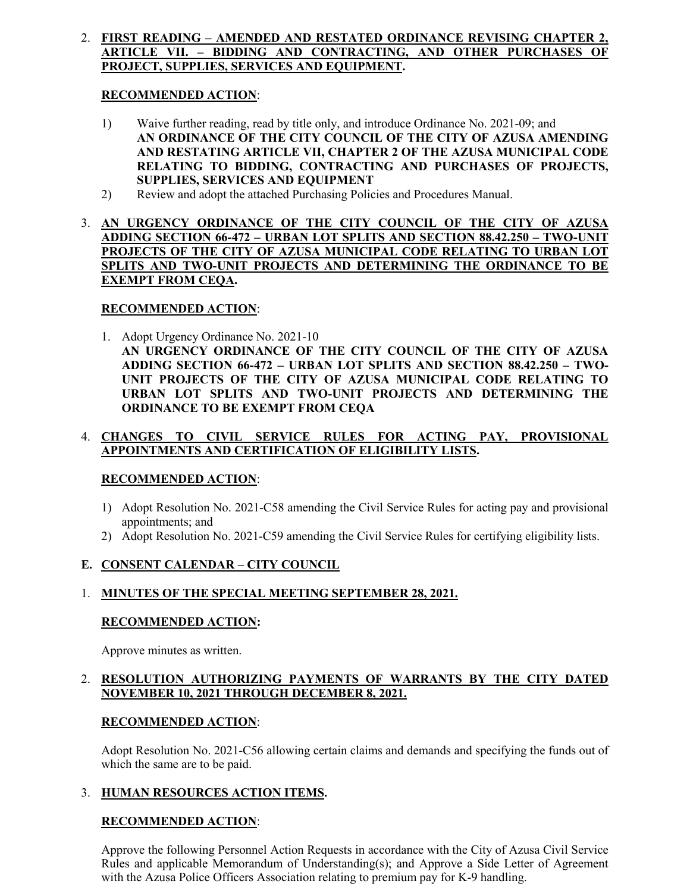#### 2. **FIRST READING – AMENDED AND RESTATED ORDINANCE REVISING CHAPTER 2, ARTICLE VII. – BIDDING AND CONTRACTING, AND OTHER PURCHASES OF PROJECT, SUPPLIES, SERVICES AND EQUIPMENT.**

#### **RECOMMENDED ACTION**:

- 1) Waive further reading, read by title only, and introduce Ordinance No. 2021-09; and **AN ORDINANCE OF THE CITY COUNCIL OF THE CITY OF AZUSA AMENDING AND RESTATING ARTICLE VII, CHAPTER 2 OF THE AZUSA MUNICIPAL CODE RELATING TO BIDDING, CONTRACTING AND PURCHASES OF PROJECTS, SUPPLIES, SERVICES AND EQUIPMENT**
- 2) Review and adopt the attached Purchasing Policies and Procedures Manual.
- 3. **AN URGENCY ORDINANCE OF THE CITY COUNCIL OF THE CITY OF AZUSA ADDING SECTION 66-472 – URBAN LOT SPLITS AND SECTION 88.42.250 – TWO-UNIT PROJECTS OF THE CITY OF AZUSA MUNICIPAL CODE RELATING TO URBAN LOT SPLITS AND TWO-UNIT PROJECTS AND DETERMINING THE ORDINANCE TO BE EXEMPT FROM CEQA.**

#### **RECOMMENDED ACTION**:

1. Adopt Urgency Ordinance No. 2021-10 **AN URGENCY ORDINANCE OF THE CITY COUNCIL OF THE CITY OF AZUSA ADDING SECTION 66-472 – URBAN LOT SPLITS AND SECTION 88.42.250 – TWO-UNIT PROJECTS OF THE CITY OF AZUSA MUNICIPAL CODE RELATING TO URBAN LOT SPLITS AND TWO-UNIT PROJECTS AND DETERMINING THE ORDINANCE TO BE EXEMPT FROM CEQA**

#### 4. **CHANGES TO CIVIL SERVICE RULES FOR ACTING PAY, PROVISIONAL APPOINTMENTS AND CERTIFICATION OF ELIGIBILITY LISTS.**

#### **RECOMMENDED ACTION**:

- 1) Adopt Resolution No. 2021-C58 amending the Civil Service Rules for acting pay and provisional appointments; and
- 2) Adopt Resolution No. 2021-C59 amending the Civil Service Rules for certifying eligibility lists.

### **E. CONSENT CALENDAR – CITY COUNCIL**

#### 1. **MINUTES OF THE SPECIAL MEETING SEPTEMBER 28, 2021.**

#### **RECOMMENDED ACTION:**

Approve minutes as written.

#### 2. **RESOLUTION AUTHORIZING PAYMENTS OF WARRANTS BY THE CITY DATED NOVEMBER 10, 2021 THROUGH DECEMBER 8, 2021.**

#### **RECOMMENDED ACTION**:

Adopt Resolution No. 2021-C56 allowing certain claims and demands and specifying the funds out of which the same are to be paid.

#### 3. **HUMAN RESOURCES ACTION ITEMS.**

#### **RECOMMENDED ACTION**:

Approve the following Personnel Action Requests in accordance with the City of Azusa Civil Service Rules and applicable Memorandum of Understanding(s); and Approve a Side Letter of Agreement with the Azusa Police Officers Association relating to premium pay for K-9 handling.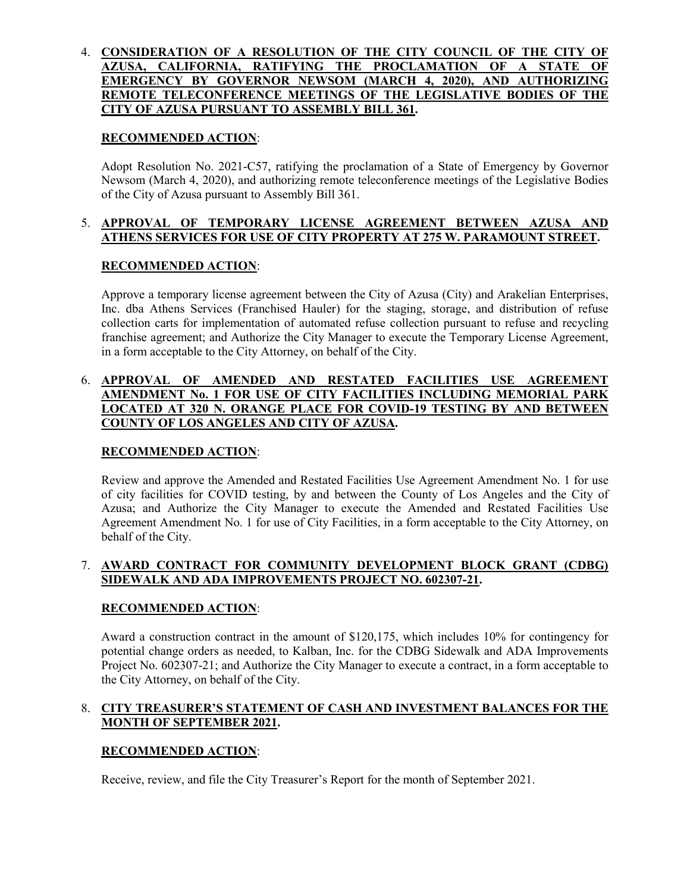#### 4. **CONSIDERATION OF A RESOLUTION OF THE CITY COUNCIL OF THE CITY OF AZUSA, CALIFORNIA, RATIFYING THE PROCLAMATION OF A STATE OF EMERGENCY BY GOVERNOR NEWSOM (MARCH 4, 2020), AND AUTHORIZING REMOTE TELECONFERENCE MEETINGS OF THE LEGISLATIVE BODIES OF THE CITY OF AZUSA PURSUANT TO ASSEMBLY BILL 361.**

#### **RECOMMENDED ACTION**:

Adopt Resolution No. 2021-C57, ratifying the proclamation of a State of Emergency by Governor Newsom (March 4, 2020), and authorizing remote teleconference meetings of the Legislative Bodies of the City of Azusa pursuant to Assembly Bill 361.

#### 5. **APPROVAL OF TEMPORARY LICENSE AGREEMENT BETWEEN AZUSA AND ATHENS SERVICES FOR USE OF CITY PROPERTY AT 275 W. PARAMOUNT STREET.**

#### **RECOMMENDED ACTION**:

Approve a temporary license agreement between the City of Azusa (City) and Arakelian Enterprises, Inc. dba Athens Services (Franchised Hauler) for the staging, storage, and distribution of refuse collection carts for implementation of automated refuse collection pursuant to refuse and recycling franchise agreement; and Authorize the City Manager to execute the Temporary License Agreement, in a form acceptable to the City Attorney, on behalf of the City.

#### 6. **APPROVAL OF AMENDED AND RESTATED FACILITIES USE AGREEMENT AMENDMENT No. 1 FOR USE OF CITY FACILITIES INCLUDING MEMORIAL PARK LOCATED AT 320 N. ORANGE PLACE FOR COVID-19 TESTING BY AND BETWEEN COUNTY OF LOS ANGELES AND CITY OF AZUSA.**

#### **RECOMMENDED ACTION**:

Review and approve the Amended and Restated Facilities Use Agreement Amendment No. 1 for use of city facilities for COVID testing, by and between the County of Los Angeles and the City of Azusa; and Authorize the City Manager to execute the Amended and Restated Facilities Use Agreement Amendment No. 1 for use of City Facilities, in a form acceptable to the City Attorney, on behalf of the City.

#### 7. **AWARD CONTRACT FOR COMMUNITY DEVELOPMENT BLOCK GRANT (CDBG) SIDEWALK AND ADA IMPROVEMENTS PROJECT NO. 602307-21.**

### **RECOMMENDED ACTION**:

Award a construction contract in the amount of \$120,175, which includes 10% for contingency for potential change orders as needed, to Kalban, Inc. for the CDBG Sidewalk and ADA Improvements Project No. 602307-21; and Authorize the City Manager to execute a contract, in a form acceptable to the City Attorney, on behalf of the City.

#### 8. **CITY TREASURER'S STATEMENT OF CASH AND INVESTMENT BALANCES FOR THE MONTH OF SEPTEMBER 2021.**

#### **RECOMMENDED ACTION**:

Receive, review, and file the City Treasurer's Report for the month of September 2021.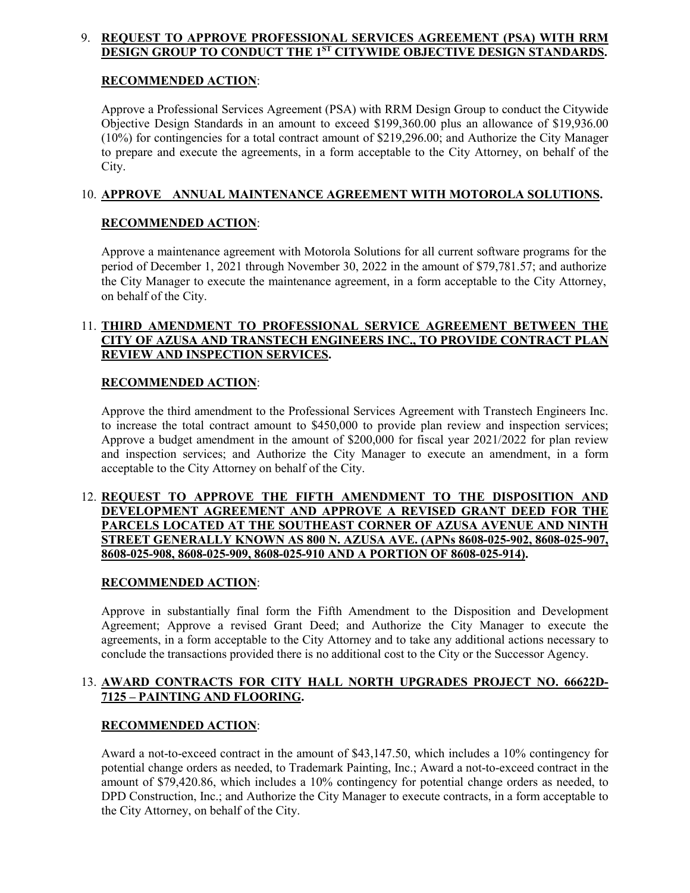#### 9. **REQUEST TO APPROVE PROFESSIONAL SERVICES AGREEMENT (PSA) WITH RRM DESIGN GROUP TO CONDUCT THE 1ST CITYWIDE OBJECTIVE DESIGN STANDARDS.**

#### **RECOMMENDED ACTION**:

Approve a Professional Services Agreement (PSA) with RRM Design Group to conduct the Citywide Objective Design Standards in an amount to exceed \$199,360.00 plus an allowance of \$19,936.00 (10%) for contingencies for a total contract amount of \$219,296.00; and Authorize the City Manager to prepare and execute the agreements, in a form acceptable to the City Attorney, on behalf of the City.

#### 10. **APPROVE ANNUAL MAINTENANCE AGREEMENT WITH MOTOROLA SOLUTIONS.**

#### **RECOMMENDED ACTION**:

Approve a maintenance agreement with Motorola Solutions for all current software programs for the period of December 1, 2021 through November 30, 2022 in the amount of \$79,781.57; and authorize the City Manager to execute the maintenance agreement, in a form acceptable to the City Attorney, on behalf of the City.

#### 11. **THIRD AMENDMENT TO PROFESSIONAL SERVICE AGREEMENT BETWEEN THE CITY OF AZUSA AND TRANSTECH ENGINEERS INC., TO PROVIDE CONTRACT PLAN REVIEW AND INSPECTION SERVICES.**

#### **RECOMMENDED ACTION**:

Approve the third amendment to the Professional Services Agreement with Transtech Engineers Inc. to increase the total contract amount to \$450,000 to provide plan review and inspection services; Approve a budget amendment in the amount of \$200,000 for fiscal year 2021/2022 for plan review and inspection services; and Authorize the City Manager to execute an amendment, in a form acceptable to the City Attorney on behalf of the City.

#### 12. **REQUEST TO APPROVE THE FIFTH AMENDMENT TO THE DISPOSITION AND DEVELOPMENT AGREEMENT AND APPROVE A REVISED GRANT DEED FOR THE PARCELS LOCATED AT THE SOUTHEAST CORNER OF AZUSA AVENUE AND NINTH STREET GENERALLY KNOWN AS 800 N. AZUSA AVE. (APNs 8608-025-902, 8608-025-907, 8608-025-908, 8608-025-909, 8608-025-910 AND A PORTION OF 8608-025-914).**

### **RECOMMENDED ACTION**:

Approve in substantially final form the Fifth Amendment to the Disposition and Development Agreement; Approve a revised Grant Deed; and Authorize the City Manager to execute the agreements, in a form acceptable to the City Attorney and to take any additional actions necessary to conclude the transactions provided there is no additional cost to the City or the Successor Agency.

#### 13. **AWARD CONTRACTS FOR CITY HALL NORTH UPGRADES PROJECT NO. 66622D-7125 – PAINTING AND FLOORING.**

### **RECOMMENDED ACTION**:

Award a not-to-exceed contract in the amount of \$43,147.50, which includes a 10% contingency for potential change orders as needed, to Trademark Painting, Inc.; Award a not-to-exceed contract in the amount of \$79,420.86, which includes a 10% contingency for potential change orders as needed, to DPD Construction, Inc.; and Authorize the City Manager to execute contracts, in a form acceptable to the City Attorney, on behalf of the City.